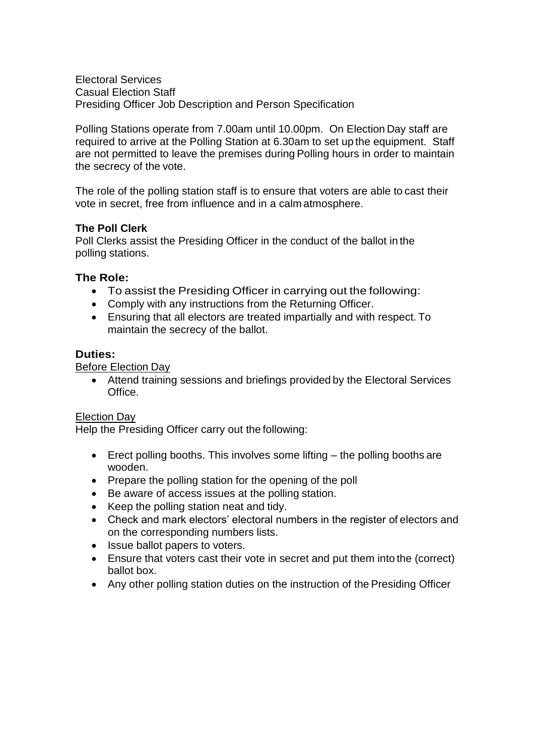Electoral Services Casual Election Staff Presiding Officer Job Description and Person Specification

Polling Stations operate from 7.00am until 10.00pm. On Election Day staff are required to arrive at the Polling Station at 6.30am to set up the equipment. Staff are not permitted to leave the premises during Polling hours in order to maintain the secrecy of the vote.

The role of the polling station staff is to ensure that voters are able to cast their vote in secret, free from influence and in a calm atmosphere.

### **The Poll Clerk**

Poll Clerks assist the Presiding Officer in the conduct of the ballot in the polling stations.

## **The Role:**

- To assist the Presiding Officer in carrying out the following:
- Comply with any instructions from the Returning Officer.
- Ensuring that all electors are treated impartially and with respect. To maintain the secrecy of the ballot.

### **Duties:**

Before Election Day

 Attend training sessions and briefings provided by the Electoral Services Office.

### Election Day

Help the Presiding Officer carry out the following:

- **Erect polling booths. This involves some lifting the polling booths are** wooden.
- Prepare the polling station for the opening of the poll
- Be aware of access issues at the polling station.
- Keep the polling station neat and tidy.
- Check and mark electors' electoral numbers in the register of electors and on the corresponding numbers lists.
- Issue ballot papers to voters.
- Ensure that voters cast their vote in secret and put them into the (correct) ballot box.
- Any other polling station duties on the instruction of the Presiding Officer